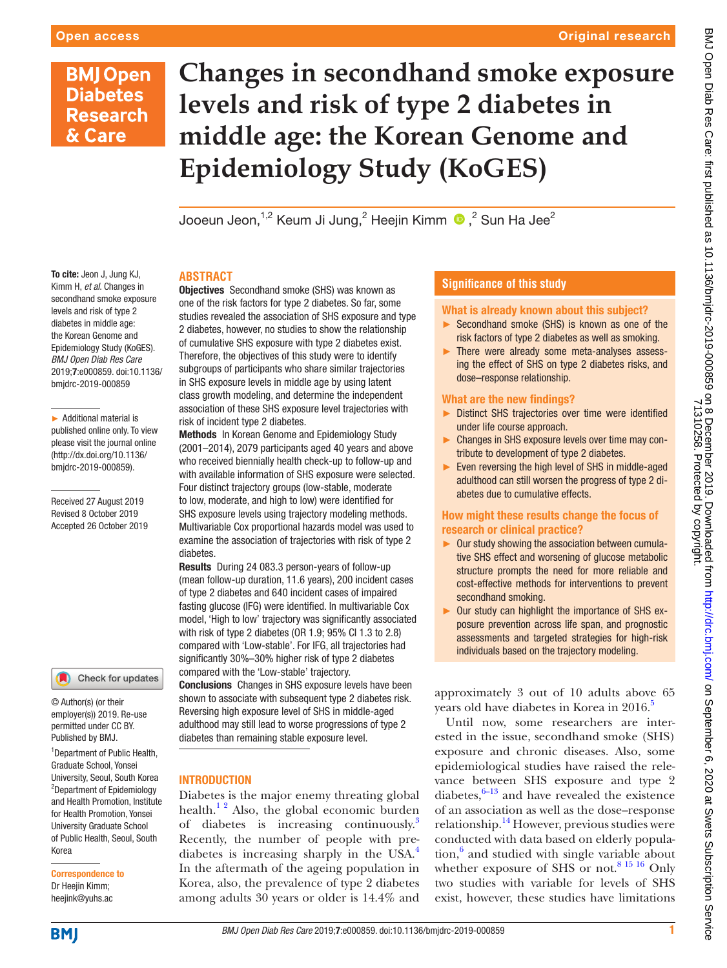# **BMJ Open Diabetes Research** & Care

**Changes in secondhand smoke exposure levels and risk of type 2 diabetes in middle age: the Korean Genome and Epidemiology Study (KoGES)**

JooeunJeon, $^{1,2}$  Keum Ji Jung, $^2$  Heejin Kimm  $\,^{\circ}$  , $^2$  Sun Ha Jee $^2$ 

To cite: Jeon J, Jung KJ, Kimm H, *et al*. Changes in secondhand smoke exposure levels and risk of type 2 diabetes in middle age: the Korean Genome and Epidemiology Study (KoGES). *BMJ Open Diab Res Care* 2019;7:e000859. doi:10.1136/ bmjdrc-2019-000859

► Additional material is published online only. To view please visit the journal online (http://dx.doi.org/10.1136/ bmjdrc-2019-000859).

Received 27 August 2019 Revised 8 October 2019 Accepted 26 October 2019

#### Check for updates

© Author(s) (or their employer(s)) 2019. Re-use permitted under CC BY. Published by BMJ.

<sup>1</sup>Department of Public Health, Graduate School, Yonsei University, Seoul, South Korea <sup>2</sup>Department of Epidemiology and Health Promotion, Institute for Health Promotion, Yonsei University Graduate School of Public Health, Seoul, South Korea

Correspondence to Dr Heejin Kimm; heejink@yuhs.ac

# **Abstract**

**Objectives** Secondhand smoke (SHS) was known as one of the risk factors for type 2 diabetes. So far, some studies revealed the association of SHS exposure and type 2 diabetes, however, no studies to show the relationship of cumulative SHS exposure with type 2 diabetes exist. Therefore, the objectives of this study were to identify subgroups of participants who share similar trajectories in SHS exposure levels in middle age by using latent class growth modeling, and determine the independent association of these SHS exposure level trajectories with risk of incident type 2 diabetes.

Methods In Korean Genome and Epidemiology Study (2001–2014), 2079 participants aged 40 years and above who received biennially health check-up to follow-up and with available information of SHS exposure were selected. Four distinct trajectory groups (low-stable, moderate to low, moderate, and high to low) were identified for SHS exposure levels using trajectory modeling methods. Multivariable Cox proportional hazards model was used to examine the association of trajectories with risk of type 2 diabetes.

Results During 24 083.3 person-years of follow-up (mean follow-up duration, 11.6 years), 200 incident cases of type 2 diabetes and 640 incident cases of impaired fasting glucose (IFG) were identified. In multivariable Cox model, 'High to low' trajectory was significantly associated with risk of type 2 diabetes (OR 1.9; 95% CI 1.3 to 2.8) compared with 'Low-stable'. For IFG, all trajectories had significantly 30%–30% higher risk of type 2 diabetes compared with the 'Low-stable' trajectory. Conclusions Changes in SHS exposure levels have been

shown to associate with subsequent type 2 diabetes risk. Reversing high exposure level of SHS in middle-aged adulthood may still lead to worse progressions of type 2 diabetes than remaining stable exposure level.

# **INTRODUCTION**

Diabetes is the major enemy threating global health. $1<sup>2</sup>$  Also, the global economic burden of diabetes is increasing continuously.<sup>3</sup> Recently, the number of people with pre-diabetes is increasing sharply in the USA.<sup>[4](#page-7-2)</sup> In the aftermath of the ageing population in Korea, also, the prevalence of type 2 diabetes among adults 30 years or older is 14.4% and

# **Significance of this study**

#### What is already known about this subject?

- ► Secondhand smoke (SHS) is known as one of the risk factors of type 2 diabetes as well as smoking.
- ► There were already some meta-analyses assessing the effect of SHS on type 2 diabetes risks, and dose–response relationship.

#### What are the new findings?

- ► Distinct SHS trajectories over time were identified under life course approach.
- ► Changes in SHS exposure levels over time may contribute to development of type 2 diabetes.
- ► Even reversing the high level of SHS in middle-aged adulthood can still worsen the progress of type 2 diabetes due to cumulative effects.

# How might these results change the focus of research or clinical practice?

- ► Our study showing the association between cumulative SHS effect and worsening of glucose metabolic structure prompts the need for more reliable and cost-effective methods for interventions to prevent secondhand smoking.
- ► Our study can highlight the importance of SHS exposure prevention across life span, and prognostic assessments and targeted strategies for high-risk individuals based on the trajectory modeling.

approximately 3 out of 10 adults above 65 years old have diabetes in Korea in 2016.<sup>5</sup>

Until now, some researchers are interested in the issue, secondhand smoke (SHS) exposure and chronic diseases. Also, some epidemiological studies have raised the relevance between SHS exposure and type 2 diabetes, $6-13$  and have revealed the existence of an association as well as the dose–response relationship. $14$  However, previous studies were conducted with data based on elderly population,<sup>6</sup> and studied with single variable about whether exposure of SHS or not.<sup>[8 15 16](#page-7-6)</sup> Only two studies with variable for levels of SHS exist, however, these studies have limitations

**BMI**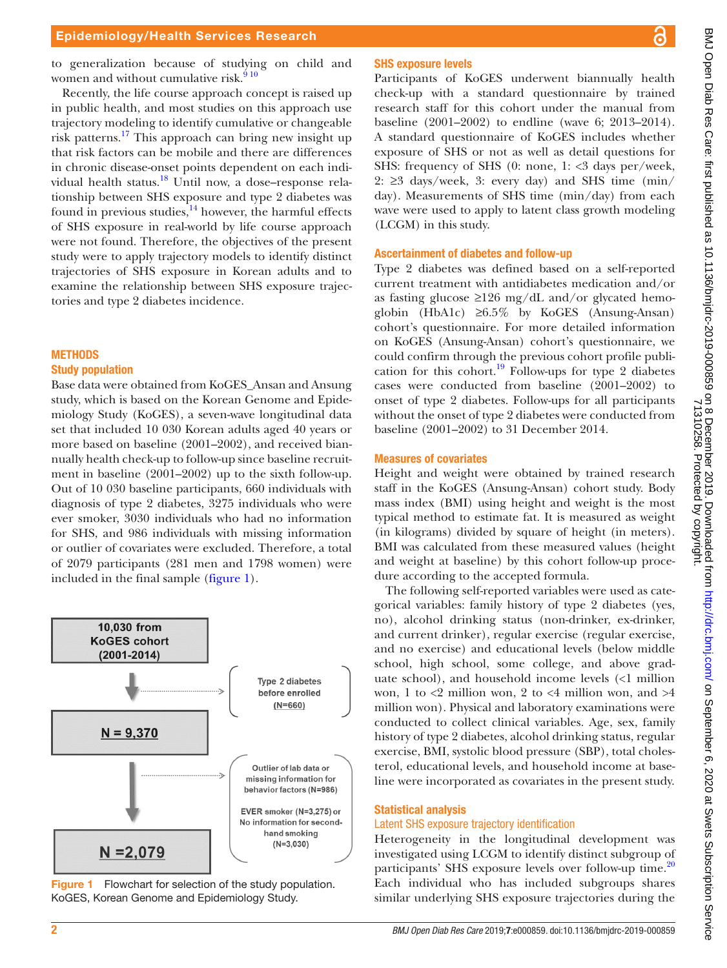to generalization because of studying on child and women and without cumulative risk. $910$ 

Recently, the life course approach concept is raised up in public health, and most studies on this approach use trajectory modeling to identify cumulative or changeable risk patterns.[17](#page-7-8) This approach can bring new insight up that risk factors can be mobile and there are differences in chronic disease-onset points dependent on each individual health status.<sup>18</sup> Until now, a dose–response relationship between SHS exposure and type 2 diabetes was found in previous studies, $\frac{14}{14}$  however, the harmful effects of SHS exposure in real-world by life course approach were not found. Therefore, the objectives of the present study were to apply trajectory models to identify distinct trajectories of SHS exposure in Korean adults and to examine the relationship between SHS exposure trajectories and type 2 diabetes incidence.

# **METHODS**

# Study population

Base data were obtained from KoGES\_Ansan and Ansung study, which is based on the Korean Genome and Epidemiology Study (KoGES), a seven-wave longitudinal data set that included 10 030 Korean adults aged 40 years or more based on baseline (2001–2002), and received biannually health check-up to follow-up since baseline recruitment in baseline (2001–2002) up to the sixth follow-up. Out of 10 030 baseline participants, 660 individuals with diagnosis of type 2 diabetes, 3275 individuals who were ever smoker, 3030 individuals who had no information for SHS, and 986 individuals with missing information or outlier of covariates were excluded. Therefore, a total of 2079 participants (281 men and 1798 women) were included in the final sample [\(figure](#page-1-0) 1).



<span id="page-1-0"></span>Figure 1 Flowchart for selection of the study population. KoGES, Korean Genome and Epidemiology Study.

# SHS exposure levels

Participants of KoGES underwent biannually health check-up with a standard questionnaire by trained research staff for this cohort under the manual from baseline (2001–2002) to endline (wave 6; 2013–2014). A standard questionnaire of KoGES includes whether exposure of SHS or not as well as detail questions for SHS: frequency of SHS (0: none, 1: <3 days per/week, 2:  $\geq$ 3 days/week, 3: every day) and SHS time (min/ day). Measurements of SHS time (min/day) from each wave were used to apply to latent class growth modeling (LCGM) in this study.

# Ascertainment of diabetes and follow-up

Type 2 diabetes was defined based on a self-reported current treatment with antidiabetes medication and/or as fasting glucose  $\geq$ 126 mg/dL and/or glycated hemoglobin (HbA1c)  $\geq 6.5\%$  by KoGES (Ansung-Ansan) cohort's questionnaire. For more detailed information on KoGES (Ansung-Ansan) cohort's questionnaire, we could confirm through the previous cohort profile publication for this cohort.<sup>19</sup> Follow-ups for type 2 diabetes cases were conducted from baseline (2001–2002) to onset of type 2 diabetes. Follow-ups for all participants without the onset of type 2 diabetes were conducted from baseline (2001–2002) to 31 December 2014.

### Measures of covariates

Height and weight were obtained by trained research staff in the KoGES (Ansung-Ansan) cohort study. Body mass index (BMI) using height and weight is the most typical method to estimate fat. It is measured as weight (in kilograms) divided by square of height (in meters). BMI was calculated from these measured values (height and weight at baseline) by this cohort follow-up procedure according to the accepted formula.

The following self-reported variables were used as categorical variables: family history of type 2 diabetes (yes, no), alcohol drinking status (non-drinker, ex-drinker, and current drinker), regular exercise (regular exercise, and no exercise) and educational levels (below middle school, high school, some college, and above graduate school), and household income levels (<1 million won, 1 to  $\langle 2 \rangle$  million won, 2 to  $\langle 4 \rangle$  million won, and  $\langle 4 \rangle$ million won). Physical and laboratory examinations were conducted to collect clinical variables. Age, sex, family history of type 2 diabetes, alcohol drinking status, regular exercise, BMI, systolic blood pressure (SBP), total cholesterol, educational levels, and household income at baseline were incorporated as covariates in the present study.

# Statistical analysis

# Latent SHS exposure trajectory identification

Heterogeneity in the longitudinal development was investigated using LCGM to identify distinct subgroup of participants' SHS exposure levels over follow-up time.<sup>20</sup> Each individual who has included subgroups shares similar underlying SHS exposure trajectories during the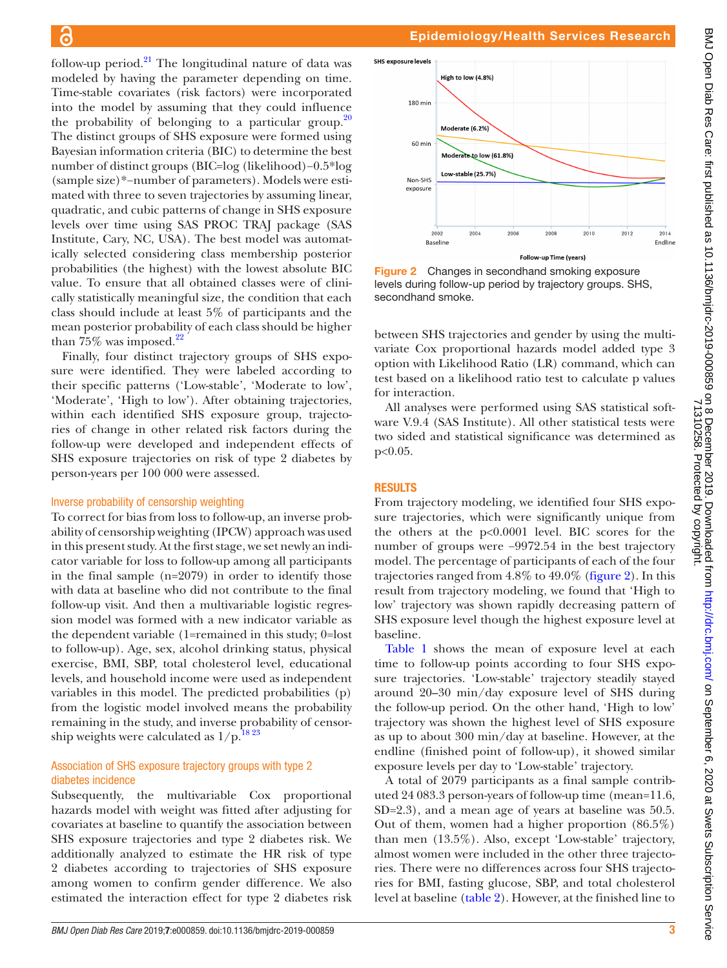follow-up period. $^{21}$  The longitudinal nature of data was modeled by having the parameter depending on time. Time-stable covariates (risk factors) were incorporated into the model by assuming that they could influence the probability of belonging to a particular group.<sup>20</sup> The distinct groups of SHS exposure were formed using Bayesian information criteria (BIC) to determine the best number of distinct groups (BIC=log (likelihood)−0.5\*log (sample size)\*−number of parameters). Models were estimated with three to seven trajectories by assuming linear, quadratic, and cubic patterns of change in SHS exposure levels over time using SAS PROC TRAJ package (SAS Institute, Cary, NC, USA). The best model was automatically selected considering class membership posterior probabilities (the highest) with the lowest absolute BIC value. To ensure that all obtained classes were of clinically statistically meaningful size, the condition that each class should include at least 5% of participants and the mean posterior probability of each class should be higher than  $75\%$  was imposed.<sup>[22](#page-7-13)</sup>

Finally, four distinct trajectory groups of SHS exposure were identified. They were labeled according to their specific patterns ('Low-stable', 'Moderate to low', 'Moderate', 'High to low'). After obtaining trajectories, within each identified SHS exposure group, trajectories of change in other related risk factors during the follow-up were developed and independent effects of SHS exposure trajectories on risk of type 2 diabetes by person-years per 100 000 were assessed.

#### Inverse probability of censorship weighting

To correct for bias from loss to follow-up, an inverse probability of censorship weighting (IPCW) approach was used in this present study. At the first stage, we set newly an indicator variable for loss to follow-up among all participants in the final sample (n=2079) in order to identify those with data at baseline who did not contribute to the final follow-up visit. And then a multivariable logistic regression model was formed with a new indicator variable as the dependent variable (1=remained in this study; 0=lost to follow-up). Age, sex, alcohol drinking status, physical exercise, BMI, SBP, total cholesterol level, educational levels, and household income were used as independent variables in this model. The predicted probabilities (p) from the logistic model involved means the probability remaining in the study, and inverse probability of censorship weights were calculated as  $1/p$ .<sup>1823</sup>

### Association of SHS exposure trajectory groups with type 2 diabetes incidence

Subsequently, the multivariable Cox proportional hazards model with weight was fitted after adjusting for covariates at baseline to quantify the association between SHS exposure trajectories and type 2 diabetes risk. We additionally analyzed to estimate the HR risk of type 2 diabetes according to trajectories of SHS exposure among women to confirm gender difference. We also estimated the interaction effect for type 2 diabetes risk

### Epidemiology/Health Services Research

SHS exposure levels High to low (4.8%) 180 mir Moderate (6.2% 60 min Moderate to low (61.8%) Low-stable (25.7%) Non-SHS exposure 2002 2004 2008 2010 2012 2014  $200($ Baseline Endline Follow-up Time (years)

<span id="page-2-0"></span>Figure 2 Changes in secondhand smoking exposure levels during follow-up period by trajectory groups. SHS, secondhand smoke.

between SHS trajectories and gender by using the multivariate Cox proportional hazards model added type 3 option with Likelihood Ratio (LR) command, which can test based on a likelihood ratio test to calculate p values for interaction.

All analyses were performed using SAS statistical software V.9.4 (SAS Institute). All other statistical tests were two sided and statistical significance was determined as p<0.05.

#### **RESULTS**

From trajectory modeling, we identified four SHS exposure trajectories, which were significantly unique from the others at the p<0.0001 level. BIC scores for the number of groups were −9972.54 in the best trajectory model. The percentage of participants of each of the four trajectories ranged from 4.8% to 49.0% [\(figure](#page-2-0) 2). In this result from trajectory modeling, we found that 'High to low' trajectory was shown rapidly decreasing pattern of SHS exposure level though the highest exposure level at baseline.

[Table](#page-3-0) 1 shows the mean of exposure level at each time to follow-up points according to four SHS exposure trajectories. 'Low-stable' trajectory steadily stayed around 20–30 min/day exposure level of SHS during the follow-up period. On the other hand, 'High to low' trajectory was shown the highest level of SHS exposure as up to about 300 min/day at baseline. However, at the endline (finished point of follow-up), it showed similar exposure levels per day to 'Low-stable' trajectory.

A total of 2079 participants as a final sample contributed 24 083.3 person-years of follow-up time (mean=11.6, SD=2.3), and a mean age of years at baseline was 50.5. Out of them, women had a higher proportion (86.5%) than men (13.5%). Also, except 'Low-stable' trajectory, almost women were included in the other three trajectories. There were no differences across four SHS trajectories for BMI, fasting glucose, SBP, and total cholesterol level at baseline [\(table](#page-4-0) 2). However, at the finished line to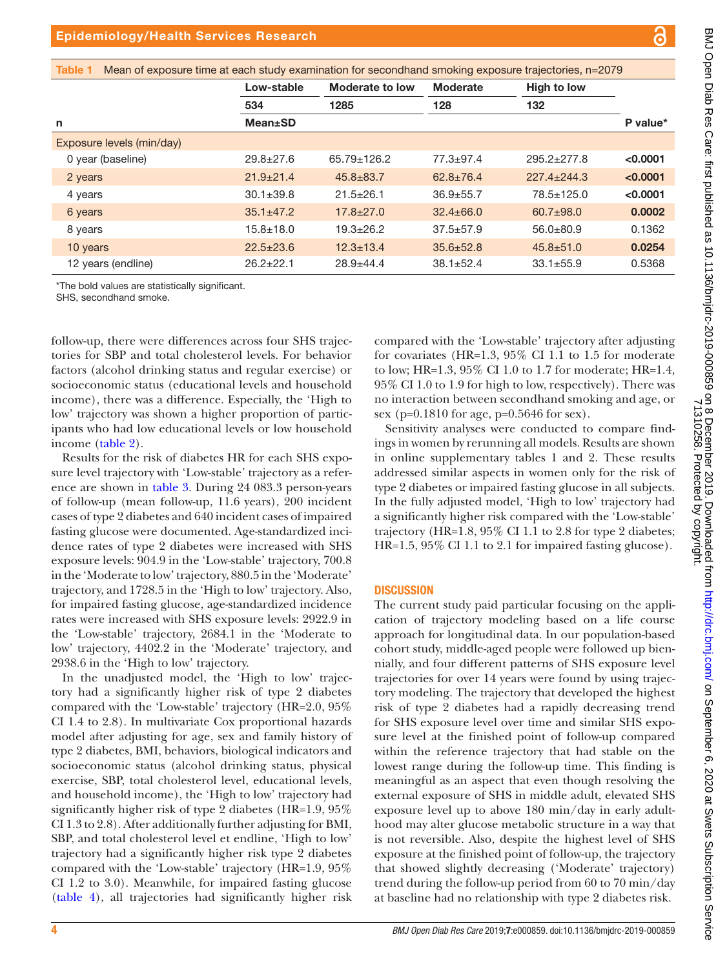| . .<br><b>Contract Contract Contract Contract Contract Contract Contract Contract Contract Contract Contract Contract C</b> |  |
|-----------------------------------------------------------------------------------------------------------------------------|--|
| . .<br>٠<br>۰.                                                                                                              |  |
| P.                                                                                                                          |  |

<span id="page-3-0"></span>

|                           | Low-stable      | Moderate to low   | <b>Moderate</b> | <b>High to low</b> |          |
|---------------------------|-----------------|-------------------|-----------------|--------------------|----------|
|                           | 534             | 1285              | 128             | 132                |          |
| n                         | <b>Mean</b> ±SD |                   |                 |                    | P value* |
| Exposure levels (min/day) |                 |                   |                 |                    |          |
| 0 year (baseline)         | $29.8 + 27.6$   | $65.79 \pm 126.2$ | $77.3 + 97.4$   | $295.2 \pm 277.8$  | < 0.0001 |
| 2 years                   | $21.9 \pm 21.4$ | $45.8 \pm 83.7$   | $62.8 \pm 76.4$ | $227.4 \pm 244.3$  | < 0.0001 |
| 4 years                   | $30.1 \pm 39.8$ | $21.5 \pm 26.1$   | $36.9 + 55.7$   | $78.5 \pm 125.0$   | < 0.0001 |
| 6 years                   | $35.1 \pm 47.2$ | $17.8 + 27.0$     | $32.4 \pm 66.0$ | $60.7 + 98.0$      | 0.0002   |
| 8 years                   | $15.8 + 18.0$   | $19.3 + 26.2$     | $37.5 + 57.9$   | $56.0 + 80.9$      | 0.1362   |
| 10 years                  | $22.5 \pm 23.6$ | $12.3 \pm 13.4$   | $35.6 \pm 52.8$ | $45.8 \pm 51.0$    | 0.0254   |
| 12 years (endline)        | $26.2 + 22.1$   | $28.9 + 44.4$     | $38.1 \pm 52.4$ | $33.1 \pm 55.9$    | 0.5368   |

follow-up, there were differences across four SHS trajectories for SBP and total cholesterol levels. For behavior factors (alcohol drinking status and regular exercise) or socioeconomic status (educational levels and household income), there was a difference. Especially, the 'High to low' trajectory was shown a higher proportion of participants who had low educational levels or low household income ([table](#page-4-0) 2).

Results for the risk of diabetes HR for each SHS exposure level trajectory with 'Low-stable' trajectory as a reference are shown in [table](#page-5-0) 3. During 24 083.3 person-years of follow-up (mean follow-up, 11.6 years), 200 incident cases of type 2 diabetes and 640 incident cases of impaired fasting glucose were documented. Age-standardized incidence rates of type 2 diabetes were increased with SHS exposure levels: 904.9 in the 'Low-stable' trajectory, 700.8 in the 'Moderate to low' trajectory, 880.5 in the 'Moderate' trajectory, and 1728.5 in the 'High to low' trajectory. Also, for impaired fasting glucose, age-standardized incidence rates were increased with SHS exposure levels: 2922.9 in the 'Low-stable' trajectory, 2684.1 in the 'Moderate to low' trajectory, 4402.2 in the 'Moderate' trajectory, and 2938.6 in the 'High to low' trajectory.

In the unadjusted model, the 'High to low' trajectory had a significantly higher risk of type 2 diabetes compared with the 'Low-stable' trajectory (HR=2.0, 95% CI 1.4 to 2.8). In multivariate Cox proportional hazards model after adjusting for age, sex and family history of type 2 diabetes, BMI, behaviors, biological indicators and socioeconomic status (alcohol drinking status, physical exercise, SBP, total cholesterol level, educational levels, and household income), the 'High to low' trajectory had significantly higher risk of type 2 diabetes (HR=1.9, 95% CI 1.3 to 2.8). After additionally further adjusting for BMI, SBP, and total cholesterol level et endline, 'High to low' trajectory had a significantly higher risk type 2 diabetes compared with the 'Low-stable' trajectory (HR=1.9, 95% CI 1.2 to 3.0). Meanwhile, for impaired fasting glucose [\(table](#page-5-1) 4), all trajectories had significantly higher risk

compared with the 'Low-stable' trajectory after adjusting for covariates (HR=1.3, 95% CI 1.1 to 1.5 for moderate to low; HR=1.3, 95% CI 1.0 to 1.7 for moderate; HR=1.4, 95% CI 1.0 to 1.9 for high to low, respectively). There was no interaction between secondhand smoking and age, or sex (p=0.1810 for age, p=0.5646 for sex).

Sensitivity analyses were conducted to compare findings in women by rerunning all models. Results are shown in [online supplementary tables 1 and 2.](https://dx.doi.org/10.1136/bmjdrc-2019-000859) These results addressed similar aspects in women only for the risk of type 2 diabetes or impaired fasting glucose in all subjects. In the fully adjusted model, 'High to low' trajectory had a significantly higher risk compared with the 'Low-stable' trajectory (HR=1.8, 95% CI 1.1 to 2.8 for type 2 diabetes; HR=1.5, 95% CI 1.1 to 2.1 for impaired fasting glucose).

# **DISCUSSION**

The current study paid particular focusing on the application of trajectory modeling based on a life course approach for longitudinal data. In our population-based cohort study, middle-aged people were followed up biennially, and four different patterns of SHS exposure level trajectories for over 14 years were found by using trajectory modeling. The trajectory that developed the highest risk of type 2 diabetes had a rapidly decreasing trend for SHS exposure level over time and similar SHS exposure level at the finished point of follow-up compared within the reference trajectory that had stable on the lowest range during the follow-up time. This finding is meaningful as an aspect that even though resolving the external exposure of SHS in middle adult, elevated SHS exposure level up to above 180 min/day in early adulthood may alter glucose metabolic structure in a way that is not reversible. Also, despite the highest level of SHS exposure at the finished point of follow-up, the trajectory that showed slightly decreasing ('Moderate' trajectory) trend during the follow-up period from 60 to 70 min/day at baseline had no relationship with type 2 diabetes risk.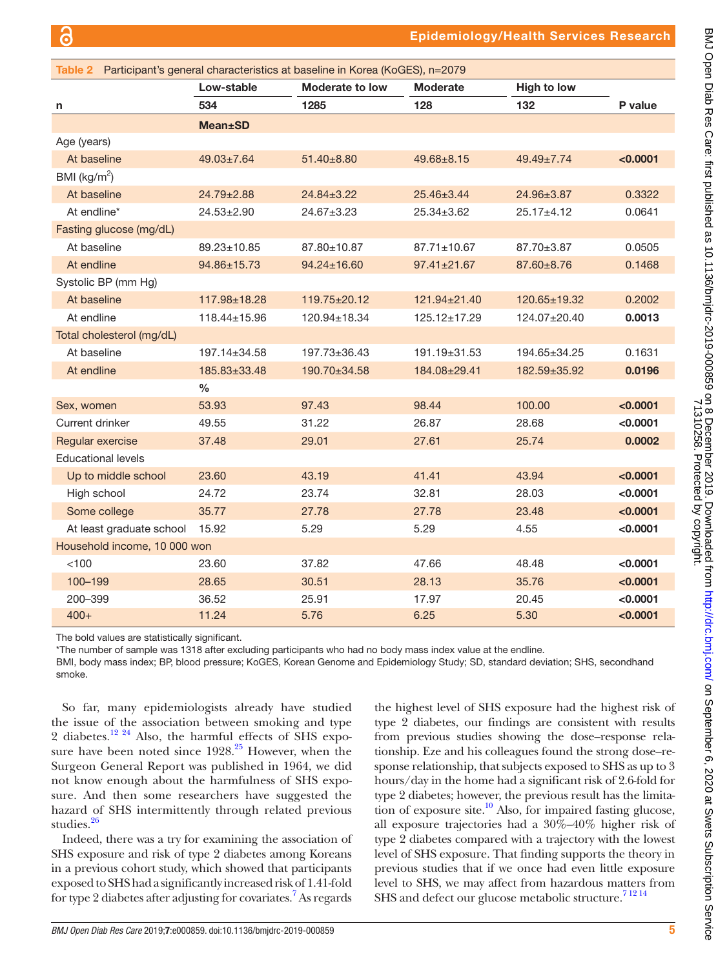<span id="page-4-0"></span>

| Table 2 Participant's general characteristics at baseline in Korea (KoGES), n=2079 |                    |                    |                    |                    |          |  |
|------------------------------------------------------------------------------------|--------------------|--------------------|--------------------|--------------------|----------|--|
|                                                                                    | Low-stable         | Moderate to low    | <b>Moderate</b>    | <b>High to low</b> |          |  |
| n                                                                                  | 534                | 1285               | 128                | 132                | P value  |  |
|                                                                                    | <b>Mean±SD</b>     |                    |                    |                    |          |  |
| Age (years)                                                                        |                    |                    |                    |                    |          |  |
| At baseline                                                                        | $49.03 \pm 7.64$   | 51.40±8.80         | $49.68 \pm 8.15$   | $49.49 \pm 7.74$   | < 0.0001 |  |
| BMI ( $kg/m2$ )                                                                    |                    |                    |                    |                    |          |  |
| At baseline                                                                        | $24.79 \pm 2.88$   | $24.84 \pm 3.22$   | $25.46 \pm 3.44$   | 24.96±3.87         | 0.3322   |  |
| At endline*                                                                        | $24.53 \pm 2.90$   | $24.67 \pm 3.23$   | $25.34 \pm 3.62$   | 25.17±4.12         | 0.0641   |  |
| Fasting glucose (mg/dL)                                                            |                    |                    |                    |                    |          |  |
| At baseline                                                                        | 89.23±10.85        | 87.80±10.87        | 87.71±10.67        | 87.70±3.87         | 0.0505   |  |
| At endline                                                                         | 94.86±15.73        | $94.24 \pm 16.60$  | $97.41 \pm 21.67$  | 87.60±8.76         | 0.1468   |  |
| Systolic BP (mm Hg)                                                                |                    |                    |                    |                    |          |  |
| At baseline                                                                        | 117.98±18.28       | $119.75 \pm 20.12$ | 121.94±21.40       | 120.65±19.32       | 0.2002   |  |
| At endline                                                                         | $118.44 \pm 15.96$ | 120.94±18.34       | $125.12 \pm 17.29$ | 124.07±20.40       | 0.0013   |  |
| Total cholesterol (mg/dL)                                                          |                    |                    |                    |                    |          |  |
| At baseline                                                                        | 197.14±34.58       | $197.73 \pm 36.43$ | 191.19±31.53       | 194.65±34.25       | 0.1631   |  |
| At endline                                                                         | 185.83±33.48       | 190.70±34.58       | 184.08±29.41       | 182.59±35.92       | 0.0196   |  |
|                                                                                    | $\%$               |                    |                    |                    |          |  |
| Sex, women                                                                         | 53.93              | 97.43              | 98.44              | 100.00             | < 0.0001 |  |
| Current drinker                                                                    | 49.55              | 31.22              | 26.87              | 28.68              | < 0.0001 |  |
| Regular exercise                                                                   | 37.48              | 29.01              | 27.61              | 25.74              | 0.0002   |  |
| <b>Educational levels</b>                                                          |                    |                    |                    |                    |          |  |
| Up to middle school                                                                | 23.60              | 43.19              | 41.41              | 43.94              | < 0.0001 |  |
| High school                                                                        | 24.72              | 23.74              | 32.81              | 28.03              | < 0.0001 |  |
| Some college                                                                       | 35.77              | 27.78              | 27.78              | 23.48              | < 0.0001 |  |
| At least graduate school                                                           | 15.92              | 5.29               | 5.29               | 4.55               | < 0.0001 |  |
| Household income, 10 000 won                                                       |                    |                    |                    |                    |          |  |
| < 100                                                                              | 23.60              | 37.82              | 47.66              | 48.48              | < 0.0001 |  |
| 100-199                                                                            | 28.65              | 30.51              | 28.13              | 35.76              | < 0.0001 |  |
| 200-399                                                                            | 36.52              | 25.91              | 17.97              | 20.45              | < 0.0001 |  |
| $400+$                                                                             | 11.24              | 5.76               | 6.25               | 5.30               | < 0.0001 |  |

The bold values are statistically significant.

\*The number of sample was 1318 after excluding participants who had no body mass index value at the endline.

BMI, body mass index; BP, blood pressure; KoGES, Korean Genome and Epidemiology Study; SD, standard deviation; SHS, secondhand smoke.

So far, many epidemiologists already have studied the issue of the association between smoking and type 2 diabetes.<sup>12 24</sup> Also, the harmful effects of SHS exposure have been noted since  $1928<sup>25</sup>$  $1928<sup>25</sup>$  $1928<sup>25</sup>$  However, when the Surgeon General Report was published in 1964, we did not know enough about the harmfulness of SHS exposure. And then some researchers have suggested the hazard of SHS intermittently through related previous studies.<sup>26</sup>

Indeed, there was a try for examining the association of SHS exposure and risk of type 2 diabetes among Koreans in a previous cohort study, which showed that participants exposed to SHS had a significantly increased risk of 1.41-fold for type 2 diabetes after adjusting for covariates.<sup>[7](#page-7-17)</sup> As regards the highest level of SHS exposure had the highest risk of type 2 diabetes, our findings are consistent with results from previous studies showing the dose–response relationship. Eze and his colleagues found the strong dose–response relationship, that subjects exposed to SHS as up to 3 hours/day in the home had a significant risk of 2.6-fold for type 2 diabetes; however, the previous result has the limitation of exposure site.<sup>10</sup> Also, for impaired fasting glucose, all exposure trajectories had a 30%–40% higher risk of type 2 diabetes compared with a trajectory with the lowest level of SHS exposure. That finding supports the theory in previous studies that if we once had even little exposure level to SHS, we may affect from hazardous matters from SHS and defect our glucose metabolic structure.<sup>71214</sup>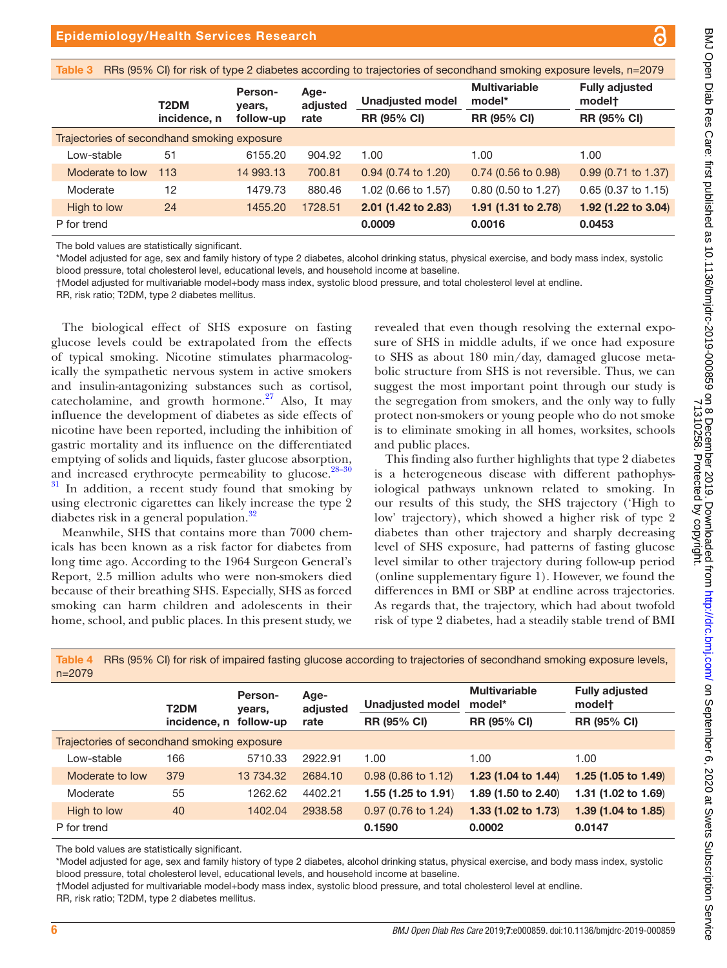<span id="page-5-0"></span>

| RRs (95% CI) for risk of type 2 diabetes according to trajectories of secondhand smoking exposure levels, n=2079<br>Table 3 |                   |                   |                  |                       |                                |                                 |  |
|-----------------------------------------------------------------------------------------------------------------------------|-------------------|-------------------|------------------|-----------------------|--------------------------------|---------------------------------|--|
|                                                                                                                             | T <sub>2</sub> DM | Person-<br>years, | Age-<br>adjusted | Unadjusted model      | <b>Multivariable</b><br>model* | <b>Fully adjusted</b><br>modelt |  |
|                                                                                                                             | incidence, n      | follow-up         | rate             | <b>RR (95% CI)</b>    | <b>RR (95% CI)</b>             | <b>RR (95% CI)</b>              |  |
| Trajectories of secondhand smoking exposure                                                                                 |                   |                   |                  |                       |                                |                                 |  |
| Low-stable                                                                                                                  | 51                | 6155.20           | 904.92           | 1.00                  | 1.00                           | 1.00                            |  |
| Moderate to low                                                                                                             | 113               | 14 993.13         | 700.81           | $0.94$ (0.74 to 1.20) | $0.74$ (0.56 to 0.98)          | $0.99$ (0.71 to 1.37)           |  |
| Moderate                                                                                                                    | 12                | 1479.73           | 880.46           | 1.02 (0.66 to 1.57)   | $0.80$ (0.50 to 1.27)          | $0.65$ (0.37 to 1.15)           |  |
| High to low                                                                                                                 | 24                | 1455.20           | 1728.51          | 2.01 (1.42 to 2.83)   | 1.91 (1.31 to 2.78)            | 1.92 (1.22 to 3.04)             |  |
| P for trend                                                                                                                 |                   |                   |                  | 0.0009                | 0.0016                         | 0.0453                          |  |

The bold values are statistically significant.

\*Model adjusted for age, sex and family history of type 2 diabetes, alcohol drinking status, physical exercise, and body mass index, systolic blood pressure, total cholesterol level, educational levels, and household income at baseline.

†Model adjusted for multivariable model+body mass index, systolic blood pressure, and total cholesterol level at endline.

RR, risk ratio; T2DM, type 2 diabetes mellitus.

The biological effect of SHS exposure on fasting glucose levels could be extrapolated from the effects of typical smoking. Nicotine stimulates pharmacologically the sympathetic nervous system in active smokers and insulin-antagonizing substances such as cortisol, catecholamine, and growth hormone. $27$  Also, It may influence the development of diabetes as side effects of nicotine have been reported, including the inhibition of gastric mortality and its influence on the differentiated emptying of solids and liquids, faster glucose absorption, and increased erythrocyte permeability to glucose. $28-30$  $31$  In addition, a recent study found that smoking by using electronic cigarettes can likely increase the type 2 diabetes risk in a general population.<sup>[32](#page-7-22)</sup>

Meanwhile, SHS that contains more than 7000 chemicals has been known as a risk factor for diabetes from long time ago. According to the 1964 Surgeon General's Report, 2.5 million adults who were non-smokers died because of their breathing SHS. Especially, SHS as forced smoking can harm children and adolescents in their home, school, and public places. In this present study, we

revealed that even though resolving the external exposure of SHS in middle adults, if we once had exposure to SHS as about 180 min/day, damaged glucose metabolic structure from SHS is not reversible. Thus, we can suggest the most important point through our study is the segregation from smokers, and the only way to fully protect non-smokers or young people who do not smoke is to eliminate smoking in all homes, worksites, schools and public places.

This finding also further highlights that type 2 diabetes is a heterogeneous disease with different pathophysiological pathways unknown related to smoking. In our results of this study, the SHS trajectory ('High to low' trajectory), which showed a higher risk of type 2 diabetes than other trajectory and sharply decreasing level of SHS exposure, had patterns of fasting glucose level similar to other trajectory during follow-up period [\(online supplementary figure 1](https://dx.doi.org/10.1136/bmjdrc-2019-000859)). However, we found the differences in BMI or SBP at endline across trajectories. As regards that, the trajectory, which had about twofold risk of type 2 diabetes, had a steadily stable trend of BMI

| $n = 2079$                                  |                        |                   |                          |                                |                                |                                 |  |
|---------------------------------------------|------------------------|-------------------|--------------------------|--------------------------------|--------------------------------|---------------------------------|--|
|                                             | T <sub>2</sub> DM      | Person-<br>years, | Age-<br>adjusted<br>rate | <b>Unadjusted model</b>        | <b>Multivariable</b><br>model* | <b>Fully adjusted</b><br>modelt |  |
|                                             | incidence, n follow-up |                   |                          | <b>RR (95% CI)</b>             | <b>RR (95% CI)</b>             | <b>RR (95% CI)</b>              |  |
| Trajectories of secondhand smoking exposure |                        |                   |                          |                                |                                |                                 |  |
| Low-stable                                  | 166                    | 5710.33           | 2922.91                  | 1.00                           | 1.00                           | 1.00                            |  |
| Moderate to low                             | 379                    | 13 734.32         | 2684.10                  | $0.98(0.86 \text{ to } 1.12)$  | 1.23 $(1.04 \text{ to } 1.44)$ | 1.25 $(1.05 \text{ to } 1.49)$  |  |
| Moderate                                    | 55                     | 1262.62           | 4402.21                  | 1.55 $(1.25 \text{ to } 1.91)$ | 1.89 (1.50 to 2.40)            | 1.31 (1.02 to 1.69)             |  |
| High to low                                 | 40                     | 1402.04           | 2938.58                  | $0.97$ (0.76 to 1.24)          | 1.33 $(1.02 \text{ to } 1.73)$ | 1.39 $(1.04 \text{ to } 1.85)$  |  |
| P for trend                                 |                        |                   |                          | 0.1590                         | 0.0002                         | 0.0147                          |  |

<span id="page-5-1"></span>Table 4 RRs (95% CI) for risk of impaired fasting glucose according to trajectories of secondhand smoking exposure levels,

The bold values are statistically significant.

\*Model adjusted for age, sex and family history of type 2 diabetes, alcohol drinking status, physical exercise, and body mass index, systolic blood pressure, total cholesterol level, educational levels, and household income at baseline.

†Model adjusted for multivariable model+body mass index, systolic blood pressure, and total cholesterol level at endline.

RR, risk ratio; T2DM, type 2 diabetes mellitus.

71310258. Protected by copyright.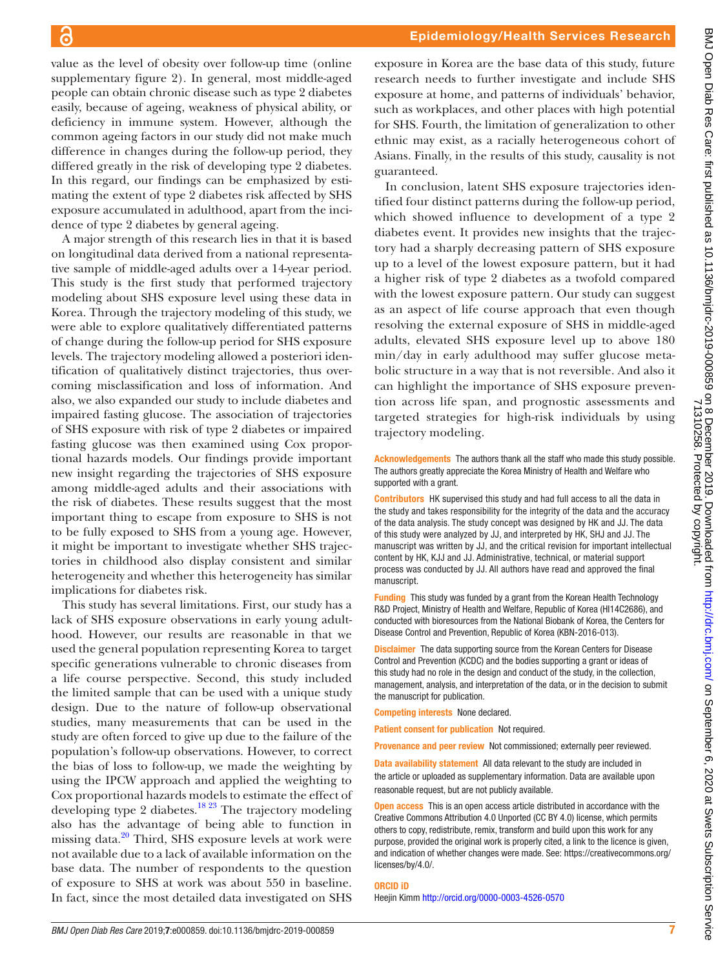value as the level of obesity over follow-up time [\(online](https://dx.doi.org/10.1136/bmjdrc-2019-000859) [supplementary figure 2\)](https://dx.doi.org/10.1136/bmjdrc-2019-000859). In general, most middle-aged people can obtain chronic disease such as type 2 diabetes easily, because of ageing, weakness of physical ability, or deficiency in immune system. However, although the common ageing factors in our study did not make much difference in changes during the follow-up period, they differed greatly in the risk of developing type 2 diabetes. In this regard, our findings can be emphasized by estimating the extent of type 2 diabetes risk affected by SHS exposure accumulated in adulthood, apart from the incidence of type 2 diabetes by general ageing.

 $\epsilon$ 

A major strength of this research lies in that it is based on longitudinal data derived from a national representative sample of middle-aged adults over a 14-year period. This study is the first study that performed trajectory modeling about SHS exposure level using these data in Korea. Through the trajectory modeling of this study, we were able to explore qualitatively differentiated patterns of change during the follow-up period for SHS exposure levels. The trajectory modeling allowed a posteriori identification of qualitatively distinct trajectories, thus overcoming misclassification and loss of information. And also, we also expanded our study to include diabetes and impaired fasting glucose. The association of trajectories of SHS exposure with risk of type 2 diabetes or impaired fasting glucose was then examined using Cox proportional hazards models. Our findings provide important new insight regarding the trajectories of SHS exposure among middle-aged adults and their associations with the risk of diabetes. These results suggest that the most important thing to escape from exposure to SHS is not to be fully exposed to SHS from a young age. However, it might be important to investigate whether SHS trajectories in childhood also display consistent and similar heterogeneity and whether this heterogeneity has similar implications for diabetes risk.

This study has several limitations. First, our study has a lack of SHS exposure observations in early young adulthood. However, our results are reasonable in that we used the general population representing Korea to target specific generations vulnerable to chronic diseases from a life course perspective. Second, this study included the limited sample that can be used with a unique study design. Due to the nature of follow-up observational studies, many measurements that can be used in the study are often forced to give up due to the failure of the population's follow-up observations. However, to correct the bias of loss to follow-up, we made the weighting by using the IPCW approach and applied the weighting to Cox proportional hazards models to estimate the effect of developing type 2 diabetes.<sup>18 23</sup> The trajectory modeling also has the advantage of being able to function in missing data.<sup>20</sup> Third, SHS exposure levels at work were not available due to a lack of available information on the base data. The number of respondents to the question of exposure to SHS at work was about 550 in baseline. In fact, since the most detailed data investigated on SHS

exposure in Korea are the base data of this study, future research needs to further investigate and include SHS exposure at home, and patterns of individuals' behavior, such as workplaces, and other places with high potential for SHS. Fourth, the limitation of generalization to other ethnic may exist, as a racially heterogeneous cohort of Asians. Finally, in the results of this study, causality is not guaranteed.

In conclusion, latent SHS exposure trajectories identified four distinct patterns during the follow-up period, which showed influence to development of a type 2 diabetes event. It provides new insights that the trajectory had a sharply decreasing pattern of SHS exposure up to a level of the lowest exposure pattern, but it had a higher risk of type 2 diabetes as a twofold compared with the lowest exposure pattern. Our study can suggest as an aspect of life course approach that even though resolving the external exposure of SHS in middle-aged adults, elevated SHS exposure level up to above 180 min/day in early adulthood may suffer glucose metabolic structure in a way that is not reversible. And also it can highlight the importance of SHS exposure prevention across life span, and prognostic assessments and targeted strategies for high-risk individuals by using trajectory modeling.

#### Acknowledgements The authors thank all the staff who made this study possible. The authors greatly appreciate the Korea Ministry of Health and Welfare who supported with a grant.

Contributors HK supervised this study and had full access to all the data in the study and takes responsibility for the integrity of the data and the accuracy of the data analysis. The study concept was designed by HK and JJ. The data of this study were analyzed by JJ, and interpreted by HK, SHJ and JJ. The manuscript was written by JJ, and the critical revision for important intellectual content by HK, KJJ and JJ. Administrative, technical, or material support process was conducted by JJ. All authors have read and approved the final manuscript.

Funding This study was funded by a grant from the Korean Health Technology R&D Project, Ministry of Health and Welfare, Republic of Korea (HI14C2686), and conducted with bioresources from the National Biobank of Korea, the Centers for Disease Control and Prevention, Republic of Korea (KBN-2016-013).

Disclaimer The data supporting source from the Korean Centers for Disease Control and Prevention (KCDC) and the bodies supporting a grant or ideas of this study had no role in the design and conduct of the study, in the collection, management, analysis, and interpretation of the data, or in the decision to submit the manuscript for publication.

Competing interests None declared.

Patient consent for publication Not required.

Provenance and peer review Not commissioned; externally peer reviewed.

Data availability statement All data relevant to the study are included in the article or uploaded as supplementary information. Data are available upon reasonable request, but are not publicly available.

**Open access** This is an open access article distributed in accordance with the Creative Commons Attribution 4.0 Unported (CC BY 4.0) license, which permits others to copy, redistribute, remix, transform and build upon this work for any purpose, provided the original work is properly cited, a link to the licence is given, and indication of whether changes were made. See: [https://creativecommons.org/](https://creativecommons.org/licenses/by/4.0/) [licenses/by/4.0/](https://creativecommons.org/licenses/by/4.0/).

#### ORCID iD

Heejin Kimm<http://orcid.org/0000-0003-4526-0570>